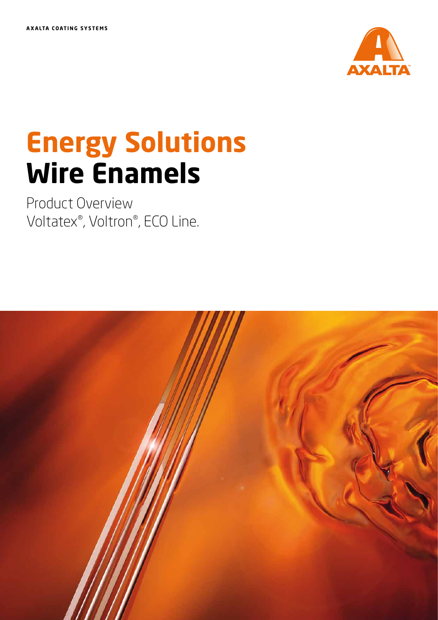

# **Energy Solutions Wire Enamels**

Product Overview Voltatex®, Voltron®, ECO Line.

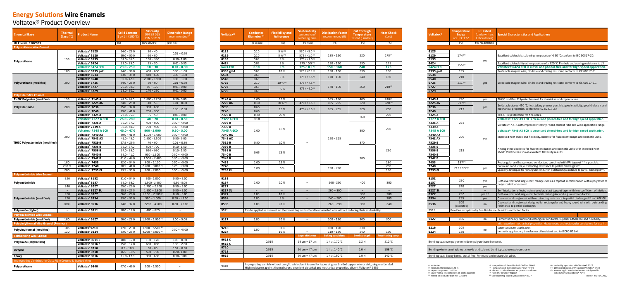| <b>Chemical Base</b>                                           | <b>Thermal</b><br><b>Class</b> $(^{\circ}C)$ | <b>Product Name</b>                                      | <b>Solid Content</b><br>(1 g/1 h/180 °C) | <b>Viscosity</b><br><b>DIN 53 015</b><br><b>DIN 53019</b> | <b>Dimension Range</b><br>recommended <sup>(3)</sup> |  |
|----------------------------------------------------------------|----------------------------------------------|----------------------------------------------------------|------------------------------------------|-----------------------------------------------------------|------------------------------------------------------|--|
| <b>UL File No. E102069</b>                                     |                                              |                                                          | [%]                                      | [ $mPa·s$ ] [ $23°C$ ]                                    | [Ø in mm]                                            |  |
| <b>Polyurethane Wire Enamel</b>                                |                                              |                                                          |                                          |                                                           |                                                      |  |
|                                                                |                                              | Voltatex <sup>®</sup> 6125                               | $24.0 - 26.0$                            | $30 - 40$                                                 |                                                      |  |
|                                                                |                                              | Voltatex <sup>®</sup> 6129                               | $28.0 - 30.0$                            | $60 - 80$                                                 | $0.01 - 0.60$                                        |  |
|                                                                | 155                                          | Voltatex <sup>®</sup> 6135                               | $34.0 - 36.0$                            | $150 - 350$                                               | $0.30 - 1.00$                                        |  |
| Polyurethane                                                   |                                              | Voltatex <sup>®</sup> 6424                               | $23.0 - 25.0$                            | $35 - 50$                                                 | $0.01 - 0.30$                                        |  |
|                                                                |                                              | Voltatex® 6424 ECO                                       | $23.0 - 25.0$                            | $10 - 30$                                                 | $0.01 - 0.30$                                        |  |
|                                                                | 180                                          | Voltatex® 6335 gold                                      | $34.0 - 36.0$                            | $400 - 600$                                               | $0.30 - 1.00$                                        |  |
|                                                                |                                              | Voltatex® 6534                                           | $33.0 - 35.0$                            | $440 - 600$                                               | $0.30 - 1.80$                                        |  |
|                                                                |                                              | Voltatex <sup>®</sup> 6540                               | $39.0 - 42.0$                            | $2.300 - 2.900$                                           | $0.30 - 1.80$                                        |  |
| <b>Polyurethane (modified)</b>                                 | 200                                          | Voltatex <sup>®</sup> 6725                               | $24.0 - 26.0$                            | $50 - 80$                                                 | $0.01 - 0.80$                                        |  |
|                                                                |                                              | Voltatex <sup>®</sup> 6727                               | $26.0 - 28.0$                            | $80 - 120$                                                | $0.01 - 0.80$                                        |  |
|                                                                |                                              | Voltatex <sup>®</sup> 6729                               | $28.0 - 30.0$                            | $140 - 220$                                               | $0.01 - 0.80$                                        |  |
| <b>Polyester Wire Enamel</b>                                   |                                              |                                                          |                                          |                                                           |                                                      |  |
| <b>THEIC Polyester (modified)</b>                              | 155                                          | Voltatex <sup>®</sup> 7145 A                             | $44.0 - 46.0$                            | $1.800 - 2.200$                                           | $0.30 - 5.00$                                        |  |
|                                                                |                                              | Voltatex <sup>®</sup> 7225 AG                            | $24.0 - 25.0$                            | $40 - 55$                                                 | $0.01 - 0.80$                                        |  |
| Polyesterimide                                                 | 200                                          | Voltatex <sup>®</sup> 7236                               | $35.0 - 37.0$                            | $300 - 600$                                               | $0.30 - 2.50$                                        |  |
|                                                                |                                              | Voltatex <sup>®</sup> 7240                               | $39.0 - 41.0$                            | $700 - 900$                                               |                                                      |  |
|                                                                |                                              | Voltatex <sup>®</sup> 7325 A                             | $23.0 - 25.0$                            | $35 - 50$                                                 | $0.01 - 0.80$                                        |  |
|                                                                |                                              | Voltatex® 7327 A ECO                                     | $26.0 - 28.0$                            | $40 - 70$                                                 | $0.01 - 0.50$                                        |  |
|                                                                |                                              | Voltatex <sup>®</sup> 7336 A                             | $35.0 - 37.0$                            | $400 - 800$                                               | $0.30 - 3.00$                                        |  |
|                                                                |                                              | Voltatex® 7339 A                                         | $38.0 - 40.0$                            | $700 - 900$                                               | $0.30 - 3.00$                                        |  |
|                                                                |                                              | <b>Voltatex<sup>®</sup> 7345 A ECO</b>                   | $43.0 - 47.0$                            | $800 - 1.600$                                             | $0.30 - 3.00$                                        |  |
|                                                                | 200                                          | Voltatex <sup>®</sup> 7340 AX                            | $39.0 - 41.0$                            | $1.100 - 1.600$                                           | $0.30 - 3.00$                                        |  |
|                                                                |                                              | Voltatex <sup>®</sup> 7342 AX                            | $41.0 - 45.0$                            | $1.900 - 2.500$                                           | $0.30 - 5.00$                                        |  |
| <b>THEIC Polyesterimide (modified)</b>                         |                                              | Voltatex <sup>®</sup> 7329 B                             | $27.5 - 29.5$                            | $70 - 90$                                                 | $0.01 - 0.80$                                        |  |
|                                                                |                                              | Voltatex <sup>®</sup> 7336 B                             | $35.0 - 37.0$                            | $500 - 700$                                               | $0.10 - 1.50$                                        |  |
|                                                                |                                              | Voltatex <sup>®</sup> 7338 B                             | $37.0 - 39.0$                            | $650 - 950$                                               | $0.10 - 1.50$                                        |  |
|                                                                |                                              | Voltatex <sup>®</sup> 7340 B                             | $39.0 - 41.0$                            | $900 - 1.200$                                             | $0.30 - 3.00$                                        |  |
|                                                                |                                              | Voltatex <sup>®</sup> 7342 B                             | $41.0 - 44.0$                            | $1.500 - 2.400$                                           | $0.30 - 3.00$                                        |  |
|                                                                | 180                                          | Voltatex <sup>®</sup> 7433                               | $32.0 - 34.0$                            | $800 - 1.100$                                             | $0.50 - 5.00$                                        |  |
|                                                                | 220(9)                                       | Voltatex <sup>®</sup> 7740                               | $38.5 - 41.0$                            | $2.200 - 3.000^{(2)}$                                     | $0.20 - 3.00$                                        |  |
|                                                                | 200                                          | Voltatex <sup>®</sup> 7735 FL                            | $33.5 - 35.0$                            | $800 - 2.000$                                             | $0.50 - 5.00$                                        |  |
| <b>Polyamideimide Wire Enamel</b>                              |                                              |                                                          |                                          |                                                           |                                                      |  |
|                                                                | 220                                          | Voltatex <sup>®</sup> 8132                               | $31.0 - 34.0$                            | $500 - 1.000$                                             | $0.30 - 5.00$                                        |  |
| Polyamideimide                                                 |                                              | Voltatex <sup>®</sup> 8137                               | $35.0 - 38.0$                            | 1.500 - 2.500                                             | $0.50 - 5.00$                                        |  |
|                                                                | 240                                          | Voltatex® 8227<br>Voltatex® 8227 SL                      | $25.0 - 29.0$<br>$25.5 - 27.5$           | $1.700 - 2.700$<br>$1.800 - 2.800$                        | $0.50 - 5.00$<br>$0.50 - 5.00$                       |  |
|                                                                | 220                                          | Voltatex® 8327                                           |                                          | $2.100 - 2.900$ <sup>(2)</sup>                            |                                                      |  |
| <b>Polyamideimide (modified)</b>                               | 220                                          | Voltatex <sup>®</sup> 8534                               | $26.0 - 28.0$<br>$33.0 - 35.0$           | $500 - 1.000$                                             | $0.50 - 5.00$<br>$0.20 - 3.00$                       |  |
|                                                                | 200 <sup>(1)</sup>                           | Voltatex <sup>®</sup> 8536                               | $34.0 - 37.0$                            | $2200 - 4.500$                                            | $0.20 - 3.00$                                        |  |
| <b>Polyamide (Nylon)</b>                                       | $\overline{\phantom{0}}$                     | Voltatex <sup>®</sup> 9511                               | $10.0 - 12.0$                            | $480 - 620$                                               | $\overline{\phantom{a}}$                             |  |
|                                                                |                                              |                                                          |                                          |                                                           |                                                      |  |
| <b>Polyamideimide Wire Enamel</b>                              |                                              |                                                          |                                          |                                                           |                                                      |  |
| Polyamideimide (modified)                                      | 180                                          | Voltatex <sup>®</sup> 9127                               | $26.0 - 28.0$                            | $1.300 - 1.900$ <sup>(2)</sup>                            | $1.00 - 5.00$                                        |  |
| <b>Polyviniylformal Wire Enamel (Formvar)</b>                  |                                              |                                                          |                                          |                                                           |                                                      |  |
| <b>Polyvinylformal (modified)</b>                              | 105                                          | Voltatex®9218                                            | $17.0 - 23.0$                            | $3.500 - 5.500^{(2)}$                                     | $0.30 - 5.00$                                        |  |
|                                                                | 120                                          | Voltatex <sup>®</sup> 9224                               | $23.0 - 25.0$                            | $4.000 - 6.000^{(2)}$                                     |                                                      |  |
| <b>Selfbonding Wire Enamel</b>                                 |                                              |                                                          |                                          |                                                           |                                                      |  |
| Polyamide (aliphatisch)                                        |                                              | Voltatex® 8611 C                                         | $10.0 - 12.0$                            | $130 - 170$                                               | $0.03 - 0.50$                                        |  |
|                                                                |                                              | Voltatex® 8616 C                                         | $15.0 - 17.0$                            | $600 - 800$<br>$50 - 80$                                  | $0.30 - 2.00$                                        |  |
| <b>Butyral</b>                                                 |                                              | Voltatex <sup>®</sup> 8710                               | $8.5 - 10.5$                             | $500 - 700$                                               | $0.01 - 0.50$                                        |  |
|                                                                |                                              | Voltatex <sup>®</sup> 8718<br>Voltatex <sup>®</sup> 8816 | $16.5 - 18.5$                            | $300 - 600$                                               | $0.20 - 1.00$                                        |  |
| Epoxy                                                          |                                              |                                                          | $15.0 - 17.0$                            |                                                           | $0.30 - 3.00$                                        |  |
| Impregnating Varnishes for Glass Fibre Covered & Braided Wires |                                              |                                                          |                                          |                                                           |                                                      |  |
| Polyurethane                                                   |                                              | Voltatex <sup>®</sup> 9848                               | $47.0 - 49.0$                            | $500 - 1.500$                                             |                                                      |  |

| <b>Voltatex®</b>  | <b>Conductor</b><br>Diameter <sup>(4)</sup>                                                                                                                                                                                                     | <b>Flexibility and</b><br><b>Adherence</b> | <b>Solderability</b><br>temperature/<br>soldering time | <b>Dissipation Factor</b><br>recommended (8)                                                                   | <b>Cut Through</b><br><b>Temperature</b><br>tested (Lüscher) | <b>Heat Shock</b><br>(1xd) |  |  |
|-------------------|-------------------------------------------------------------------------------------------------------------------------------------------------------------------------------------------------------------------------------------------------|--------------------------------------------|--------------------------------------------------------|----------------------------------------------------------------------------------------------------------------|--------------------------------------------------------------|----------------------------|--|--|
|                   | $[Ø$ in mm]                                                                                                                                                                                                                                     | [1xd]                                      | [°C / sec]                                             | [°C]                                                                                                           | [°C]                                                         | [°C]                       |  |  |
|                   |                                                                                                                                                                                                                                                 |                                            |                                                        |                                                                                                                |                                                              |                            |  |  |
| 6125              | 0.10                                                                                                                                                                                                                                            | 5 % (5)                                    | 320 / <5.0 (6)                                         |                                                                                                                |                                                              |                            |  |  |
| 6129<br>6135      | 0.10<br>0.65                                                                                                                                                                                                                                    | 5 % (5)<br>5 %                             | 375 / <1.0 (6)<br>$375 / 1.0^{(6)}$                    | $135 - 160$                                                                                                    | 220                                                          | $175^{(5)}$                |  |  |
| 6424              | 0.06                                                                                                                                                                                                                                            | 5 %                                        | 375 / 0.5 (6)                                          | $150 - 160$                                                                                                    | 230                                                          | 175                        |  |  |
| 6424 ECO          | 0.10                                                                                                                                                                                                                                            | 5 %                                        | 375 / 0.5(6)                                           | $150 - 160$                                                                                                    | 240                                                          | 175                        |  |  |
| 6335 gold         | 0.65                                                                                                                                                                                                                                            | 10%                                        | $375 / 2.5^{(6)}$                                      | $130 - 150$                                                                                                    | 230                                                          | 190                        |  |  |
| 6534              | 0.65                                                                                                                                                                                                                                            |                                            |                                                        |                                                                                                                |                                                              |                            |  |  |
| 6540              | 0.65                                                                                                                                                                                                                                            | 5 %                                        | $375 / 2.5^{(6)}$                                      | $170 - 190$                                                                                                    | 240                                                          | 190                        |  |  |
| 6725              | 0.10                                                                                                                                                                                                                                            | 10 % (5)                                   | $375 / 4.5^{(6)}$                                      |                                                                                                                |                                                              |                            |  |  |
| 6727              | 0.65                                                                                                                                                                                                                                            | 5 %                                        | $375 / 5.0^{(6)}$                                      | $170 - 190$                                                                                                    | 260                                                          | $210^{(5)}$                |  |  |
| 6729              | 0.65                                                                                                                                                                                                                                            |                                            |                                                        |                                                                                                                |                                                              |                            |  |  |
|                   |                                                                                                                                                                                                                                                 |                                            |                                                        |                                                                                                                |                                                              |                            |  |  |
| 7145 A            | 1.00                                                                                                                                                                                                                                            | 15%                                        |                                                        | $165 - 180$                                                                                                    | 400                                                          | $240^{(9)}$                |  |  |
| 7225 AG<br>7236   | 0.10                                                                                                                                                                                                                                            | 20 % (5)                                   | 470 / <3.5 $(7)$                                       | $185 - 205$                                                                                                    | 320                                                          | 220(5)                     |  |  |
| 7240              | 0.65<br>0.65                                                                                                                                                                                                                                    | 15%                                        | 470 / $\leq 6.5^{(7)}$                                 | $185 - 205$                                                                                                    | 320                                                          | 200                        |  |  |
| 7325 A            | 0.30                                                                                                                                                                                                                                            | 20%                                        |                                                        |                                                                                                                |                                                              | 220                        |  |  |
| <b>7327 A ECO</b> | 0.10                                                                                                                                                                                                                                            |                                            |                                                        |                                                                                                                | 360                                                          |                            |  |  |
| 7336 A            |                                                                                                                                                                                                                                                 |                                            |                                                        |                                                                                                                |                                                              |                            |  |  |
| 7339 A            |                                                                                                                                                                                                                                                 |                                            |                                                        |                                                                                                                |                                                              |                            |  |  |
| <b>7345 A ECO</b> | 1.00                                                                                                                                                                                                                                            | 15%                                        |                                                        |                                                                                                                | 380                                                          | 200                        |  |  |
| 7340 AX           |                                                                                                                                                                                                                                                 |                                            |                                                        |                                                                                                                |                                                              |                            |  |  |
| 7342 AX           |                                                                                                                                                                                                                                                 |                                            |                                                        | $190 - 215$                                                                                                    |                                                              |                            |  |  |
| 7329B             | 0.30                                                                                                                                                                                                                                            | 20%                                        |                                                        |                                                                                                                | 370                                                          |                            |  |  |
| 7336B             |                                                                                                                                                                                                                                                 |                                            |                                                        |                                                                                                                |                                                              |                            |  |  |
| 7338B             | 0.65                                                                                                                                                                                                                                            | 25 %                                       |                                                        |                                                                                                                |                                                              | 220                        |  |  |
| 7340B<br>7342B    |                                                                                                                                                                                                                                                 |                                            |                                                        |                                                                                                                | 380                                                          |                            |  |  |
| 7433              | 1.00                                                                                                                                                                                                                                            | 15%                                        |                                                        |                                                                                                                |                                                              | 180                        |  |  |
| 7740              |                                                                                                                                                                                                                                                 |                                            |                                                        |                                                                                                                |                                                              | 200                        |  |  |
| 7735 FL           | 1.00                                                                                                                                                                                                                                            | 5 %                                        |                                                        | $190 - 220$                                                                                                    |                                                              | 180                        |  |  |
|                   |                                                                                                                                                                                                                                                 |                                            |                                                        |                                                                                                                |                                                              |                            |  |  |
| 8132              |                                                                                                                                                                                                                                                 |                                            |                                                        |                                                                                                                |                                                              |                            |  |  |
| 8137              | 1.00                                                                                                                                                                                                                                            | 10%                                        |                                                        | 260 - 290                                                                                                      | 400                                                          | 300                        |  |  |
| 8227              |                                                                                                                                                                                                                                                 |                                            |                                                        |                                                                                                                |                                                              |                            |  |  |
| 8227 SL           |                                                                                                                                                                                                                                                 |                                            | $\overline{\phantom{0}}$                               | $260 - 300$                                                                                                    |                                                              |                            |  |  |
| 8327<br>8534      | 1.00<br>1.00                                                                                                                                                                                                                                    | 10%<br>5 %                                 | -                                                      | $240 - 280$                                                                                                    | 380<br>400                                                   | 300<br>300                 |  |  |
|                   |                                                                                                                                                                                                                                                 |                                            |                                                        |                                                                                                                |                                                              |                            |  |  |
| 8536              | 1.00                                                                                                                                                                                                                                            | 20%                                        |                                                        | $260 - 290$                                                                                                    | 350                                                          | 240                        |  |  |
| 9511              |                                                                                                                                                                                                                                                 |                                            |                                                        | Can be applied as overcoat on thermosetting and solderable enamelled wire without reducing their solderability |                                                              |                            |  |  |
|                   |                                                                                                                                                                                                                                                 |                                            |                                                        |                                                                                                                |                                                              |                            |  |  |
| 9127              | 1.00                                                                                                                                                                                                                                            | 30 %                                       | $\overline{\phantom{a}}$                               | $100 - 130$                                                                                                    | 300                                                          | 300                        |  |  |
|                   |                                                                                                                                                                                                                                                 |                                            |                                                        |                                                                                                                |                                                              |                            |  |  |
| 9218              |                                                                                                                                                                                                                                                 | 30 %                                       | $\overline{\phantom{a}}$                               | $100 - 120$                                                                                                    | 230                                                          | $\qquad \qquad -$          |  |  |
| 9224              | 1.00                                                                                                                                                                                                                                            | 10%                                        |                                                        | $110 - 130$                                                                                                    | 240                                                          | 160                        |  |  |
|                   |                                                                                                                                                                                                                                                 |                                            | <b>Layer thickness</b>                                 | <b>Baking conditions</b>                                                                                       | <b>Bond strength</b>                                         | <b>Resoftening temp.</b>   |  |  |
| 8611C             | 0.315                                                                                                                                                                                                                                           |                                            | $29 \mu m + 17 \mu m$                                  | 1 h at 170 °C                                                                                                  | 2.2 N                                                        | 210 °C                     |  |  |
| 8616C             |                                                                                                                                                                                                                                                 |                                            |                                                        |                                                                                                                |                                                              |                            |  |  |
| 8710              | 0.315                                                                                                                                                                                                                                           |                                            | $30 \mu m + 17 \mu m$                                  | 1 h at 140 °C                                                                                                  | 1.6 <sub>N</sub>                                             | 108 °C                     |  |  |
| 8718<br>8816      |                                                                                                                                                                                                                                                 |                                            |                                                        | 1 h at 180 °C                                                                                                  |                                                              | 140 °C                     |  |  |
|                   | 0.315<br>30 µm + 17 µm<br>1.8 <sub>N</sub>                                                                                                                                                                                                      |                                            |                                                        |                                                                                                                |                                                              |                            |  |  |
|                   |                                                                                                                                                                                                                                                 |                                            |                                                        |                                                                                                                |                                                              |                            |  |  |
| 9848              | Impregnating varnish without cresylic acid solvent is used for types of glass braided copper wire or strip, single or bonded.<br>High resistance against thermal stress, excellent electrical and mechanical properties, diluent Voltatex® 9959 |                                            |                                                        |                                                                                                                |                                                              |                            |  |  |

| <b>Voltatex®</b>  | <b>Temperature</b><br><b>Index</b><br>acc. IEC 172                 | <b>UL listed</b><br>(Underwriters<br>Laboratories) | <b>Special Characteristics and Applications</b>                                                                                                                  |  |  |  |
|-------------------|--------------------------------------------------------------------|----------------------------------------------------|------------------------------------------------------------------------------------------------------------------------------------------------------------------|--|--|--|
|                   | [°C]                                                               | File No. E102069                                   |                                                                                                                                                                  |  |  |  |
|                   |                                                                    |                                                    |                                                                                                                                                                  |  |  |  |
| 6125              |                                                                    |                                                    |                                                                                                                                                                  |  |  |  |
| 6129              | 174(5)                                                             |                                                    | Excellent solderable; soldering temperature >320 °C; conform to IEC 60317-20.                                                                                    |  |  |  |
| 6135              |                                                                    | yes                                                |                                                                                                                                                                  |  |  |  |
| 6424              | $155^{(1)}$                                                        |                                                    | Excellent solderability at temperature of $\geq$ 320 °C. Pin-hole and crazing resistance to JIS.                                                                 |  |  |  |
| 6424 ECO          |                                                                    |                                                    | Voltatex® 6424 ECO is cresol and phenol-free and for high speed application.<br>Solderable magnet wire; pin-hole and crazing resistant; conform to IEC 60317-51. |  |  |  |
| 6335 gold<br>6534 | 195                                                                |                                                    |                                                                                                                                                                  |  |  |  |
| 6540              | 210                                                                |                                                    |                                                                                                                                                                  |  |  |  |
| 6725              | $211^{(5)}$                                                        |                                                    | Solderable magnet wire; pin-hole and crazing resistant; conform to IEC 60317-51.                                                                                 |  |  |  |
| 6727              |                                                                    | yes                                                |                                                                                                                                                                  |  |  |  |
| 6729              |                                                                    |                                                    |                                                                                                                                                                  |  |  |  |
|                   |                                                                    |                                                    |                                                                                                                                                                  |  |  |  |
| 7145A             | 220                                                                | yes                                                | THEIC modified Polyester baseoat for aluminium and copper wires.                                                                                                 |  |  |  |
| 7225 AG           | 217 <sup>(5)</sup>                                                 |                                                    |                                                                                                                                                                  |  |  |  |
| 7236              |                                                                    | yes                                                | Solderable above 450 °C, hot staking process possible, good elasticity, good dielectric and                                                                      |  |  |  |
| 7240              | 217                                                                |                                                    | mechanical properties, conform to IEC 60317-23.                                                                                                                  |  |  |  |
| 7325 A            |                                                                    |                                                    | THEIC Polyesterimide for fine wires.                                                                                                                             |  |  |  |
| <b>7327 A ECO</b> |                                                                    |                                                    | Voltatex® 7327 AX ECO is cresol and phenol-free and for high speed application.                                                                                  |  |  |  |
| 7336 A            | 223                                                                |                                                    |                                                                                                                                                                  |  |  |  |
| 7339 A            |                                                                    |                                                    | Voltatex® 73 A with improved viscosity / solid content ratio and wide application range.                                                                         |  |  |  |
| <b>7345 A ECO</b> |                                                                    |                                                    | Voltatex® 7345 AX ECO is cresol and phenol-free and for high speed application.                                                                                  |  |  |  |
| 7340 AX           | 205                                                                |                                                    | Improved heat shock and flexibility, ballasts for fluorescent lamps and hermetic units.                                                                          |  |  |  |
| 7342 AX           |                                                                    | yes                                                |                                                                                                                                                                  |  |  |  |
| 7329B             |                                                                    |                                                    |                                                                                                                                                                  |  |  |  |
| 7336B             |                                                                    |                                                    | Among others ballasts for fluorescent lamps and hermetic units with improved heat                                                                                |  |  |  |
| 7338B             | 215                                                                |                                                    | shock. Practice has shown excellent flexibility results.                                                                                                         |  |  |  |
| 7340B             |                                                                    |                                                    |                                                                                                                                                                  |  |  |  |
| 7342B             |                                                                    |                                                    |                                                                                                                                                                  |  |  |  |
| 7433              | 187(9)                                                             |                                                    | Rectangular and heavy round conductors, combined with PAI topcoat (11) is possible.                                                                              |  |  |  |
| 7740<br>7735 FL   | 213 / 222(9)                                                       | yes                                                | For round conductor, outstanding resistance to partial discharges (10).                                                                                          |  |  |  |
|                   |                                                                    |                                                    | Specially developed for rectangular conductor, outstanding resistance to partial discharges (13).                                                                |  |  |  |
|                   |                                                                    |                                                    |                                                                                                                                                                  |  |  |  |
| 8132              | 230                                                                | yes                                                | Both overcoat and single coat, mainly used as a topcoat in combination with a polyester or                                                                       |  |  |  |
| 8137<br>8227      | 240                                                                |                                                    | polyesterimide basecoat.                                                                                                                                         |  |  |  |
| 8227 SL           |                                                                    | yes                                                | Self-lubrication effects, mainly used as a last topcoat layer with low coefficient of friction.                                                                  |  |  |  |
| 8327              | 232                                                                | $VES$ $(13)$                                       | Both overcoat and single coat for both rectangular and e.g. round conductors.                                                                                    |  |  |  |
| 8534              | 225                                                                | yes                                                | Overcoat and single coat with outstanding resistance to partial discharges <sup>(13)</sup> and ATF Oil.                                                          |  |  |  |
|                   | 200                                                                |                                                    | Overcoat and single coat designed for rectangular and heavy round wire with outstanding                                                                          |  |  |  |
| 8536              | (expected)                                                         | no                                                 | resistance to partial discharges.                                                                                                                                |  |  |  |
| 9511              | Provides exceptionally fine finishes with minimum friction factor. |                                                    |                                                                                                                                                                  |  |  |  |
|                   |                                                                    |                                                    |                                                                                                                                                                  |  |  |  |
| 9127              | 186                                                                | no                                                 | Primer for heavy round and rectangular conductor, superior adherence and flexibility.                                                                            |  |  |  |
|                   |                                                                    |                                                    | With excellent mechanical properties. Heavy round and rectangular conductors for use in:                                                                         |  |  |  |

| $\sim$ | nc | superconductor application.                                          |  |  |  |  |  |
|--------|----|----------------------------------------------------------------------|--|--|--|--|--|
|        |    | hermetic application; transformer oil resistant acc. to IEC60 851-4. |  |  |  |  |  |
|        |    |                                                                      |  |  |  |  |  |

Bond topcoat over polyesterimide or polyurethane basecoat.

Bonding wire enamel without cresylic acid solvent, bond topcoat over polyurethane.

Bond topcoat, Epoxy based, cresol free. For round and rectangular wires.

- 
- 
- (1) estimated<br>(2) measuring temperature: 25 °C<br>(4) depend on process condition<br>(4) under normal test conditions on pilot equipment<br>(5) tested on conductor diameter 0.30 mm
- <sup>(6)</sup> composition of the solder bath: Sn/Pb = 60/40<br>
<sup>(7)</sup> composition of the solder bath: Pb/Sn = 92/8<br>
<sup>(8)</sup> depend on wire diameter and process conditions<br>
<sup>(8)</sup> with PAI Voltatex® topcoat<br>
<sup>(8)</sup> preferably top coated
- 
- 
- 
- (11) preferably top coated with Voltatex® 8327<br>(12) 180 in combination with basecoat Voltatex® 7433<br>(13) as occur e.g. in inverter fed motors mainly used in<br>combination with Voltatex® 7740
	-

# **Energy Solutions Wire Enamels**

# Voltatex® Product Overview

Date of Issue 06/2022